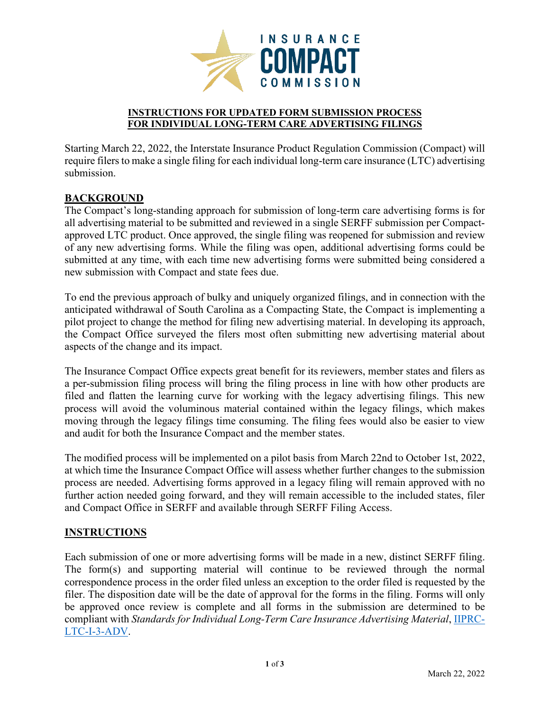

#### **INSTRUCTIONS FOR UPDATED FORM SUBMISSION PROCESS FOR INDIVIDUAL LONG-TERM CARE ADVERTISING FILINGS**

Starting March 22, 2022, the Interstate Insurance Product Regulation Commission (Compact) will require filers to make a single filing for each individual long-term care insurance (LTC) advertising submission.

## **BACKGROUND**

The Compact's long-standing approach for submission of long-term care advertising forms is for all advertising material to be submitted and reviewed in a single SERFF submission per Compactapproved LTC product. Once approved, the single filing was reopened for submission and review of any new advertising forms. While the filing was open, additional advertising forms could be submitted at any time, with each time new advertising forms were submitted being considered a new submission with Compact and state fees due.

To end the previous approach of bulky and uniquely organized filings, and in connection with the anticipated withdrawal of South Carolina as a Compacting State, the Compact is implementing a pilot project to change the method for filing new advertising material. In developing its approach, the Compact Office surveyed the filers most often submitting new advertising material about aspects of the change and its impact.

The Insurance Compact Office expects great benefit for its reviewers, member states and filers as a per-submission filing process will bring the filing process in line with how other products are filed and flatten the learning curve for working with the legacy advertising filings. This new process will avoid the voluminous material contained within the legacy filings, which makes moving through the legacy filings time consuming. The filing fees would also be easier to view and audit for both the Insurance Compact and the member states.

The modified process will be implemented on a pilot basis from March 22nd to October 1st, 2022, at which time the Insurance Compact Office will assess whether further changes to the submission process are needed. Advertising forms approved in a legacy filing will remain approved with no further action needed going forward, and they will remain accessible to the included states, filer and Compact Office in SERFF and available through SERFF Filing Access.

### **INSTRUCTIONS**

Each submission of one or more advertising forms will be made in a new, distinct SERFF filing. The form(s) and supporting material will continue to be reviewed through the normal correspondence process in the order filed unless an exception to the order filed is requested by the filer. The disposition date will be the date of approval for the forms in the filing. Forms will only be approved once review is complete and all forms in the submission are determined to be compliant with *Standards for Individual Long-Term Care Insurance Advertising Material*, [IIPRC-](https://www.insurancecompact.org/sites/default/files/compact/documents/standards_ltc_i_3_adv.pdf)[LTC-I-3-ADV.](https://www.insurancecompact.org/sites/default/files/compact/documents/standards_ltc_i_3_adv.pdf)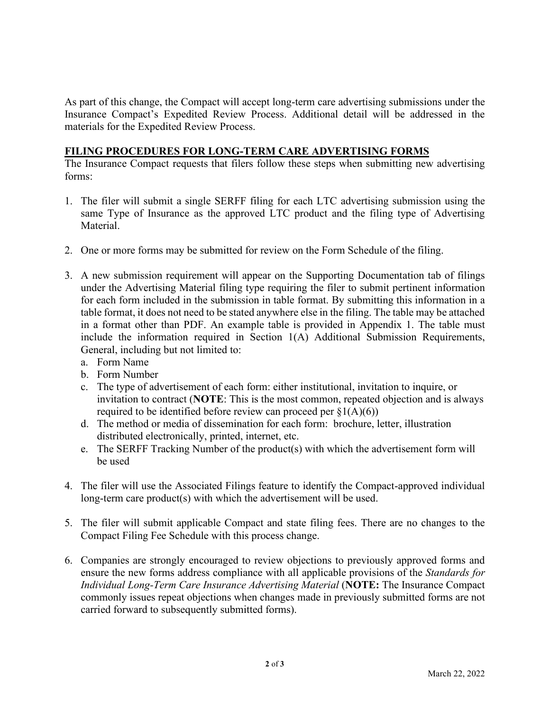As part of this change, the Compact will accept long-term care advertising submissions under the Insurance Compact's Expedited Review Process. Additional detail will be addressed in the materials for the Expedited Review Process.

## **FILING PROCEDURES FOR LONG-TERM CARE ADVERTISING FORMS**

The Insurance Compact requests that filers follow these steps when submitting new advertising forms:

- 1. The filer will submit a single SERFF filing for each LTC advertising submission using the same Type of Insurance as the approved LTC product and the filing type of Advertising Material.
- 2. One or more forms may be submitted for review on the Form Schedule of the filing.
- 3. A new submission requirement will appear on the Supporting Documentation tab of filings under the Advertising Material filing type requiring the filer to submit pertinent information for each form included in the submission in table format. By submitting this information in a table format, it does not need to be stated anywhere else in the filing. The table may be attached in a format other than PDF. An example table is provided in Appendix 1. The table must include the information required in Section 1(A) Additional Submission Requirements, General, including but not limited to:
	- a. Form Name
	- b. Form Number
	- c. The type of advertisement of each form: either institutional, invitation to inquire, or invitation to contract (**NOTE**: This is the most common, repeated objection and is always required to be identified before review can proceed per  $\S1(A)(6)$ )
	- d. The method or media of dissemination for each form: brochure, letter, illustration distributed electronically, printed, internet, etc.
	- e. The SERFF Tracking Number of the product(s) with which the advertisement form will be used
- 4. The filer will use the Associated Filings feature to identify the Compact-approved individual long-term care product(s) with which the advertisement will be used.
- 5. The filer will submit applicable Compact and state filing fees. There are no changes to the Compact Filing Fee Schedule with this process change.
- 6. Companies are strongly encouraged to review objections to previously approved forms and ensure the new forms address compliance with all applicable provisions of the *Standards for Individual Long-Term Care Insurance Advertising Material* (**NOTE:** The Insurance Compact commonly issues repeat objections when changes made in previously submitted forms are not carried forward to subsequently submitted forms).